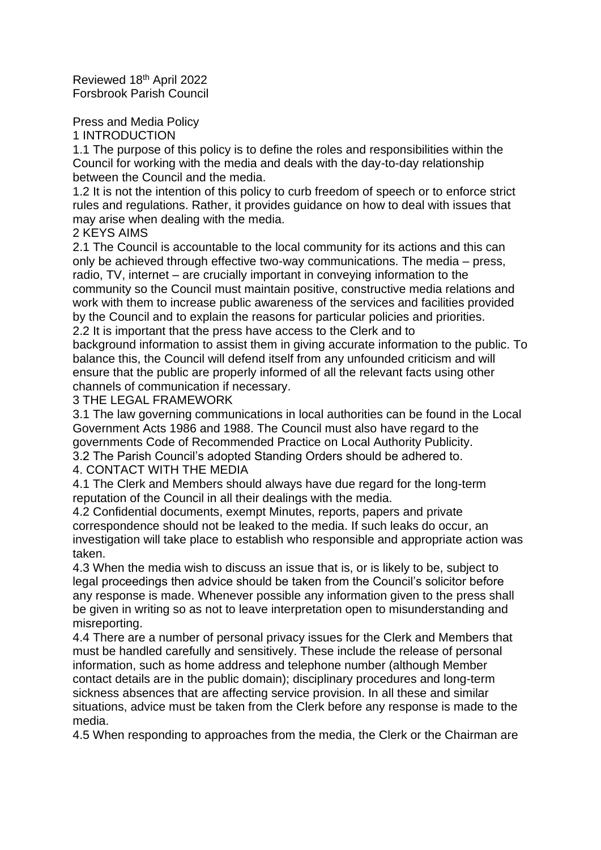Reviewed 18th April 2022 Forsbrook Parish Council

Press and Media Policy

1 INTRODUCTION

1.1 The purpose of this policy is to define the roles and responsibilities within the Council for working with the media and deals with the day-to-day relationship between the Council and the media.

1.2 It is not the intention of this policy to curb freedom of speech or to enforce strict rules and regulations. Rather, it provides guidance on how to deal with issues that may arise when dealing with the media.

2 KEYS AIMS

2.1 The Council is accountable to the local community for its actions and this can only be achieved through effective two-way communications. The media – press, radio, TV, internet – are crucially important in conveying information to the community so the Council must maintain positive, constructive media relations and work with them to increase public awareness of the services and facilities provided by the Council and to explain the reasons for particular policies and priorities. 2.2 It is important that the press have access to the Clerk and to

background information to assist them in giving accurate information to the public. To balance this, the Council will defend itself from any unfounded criticism and will ensure that the public are properly informed of all the relevant facts using other channels of communication if necessary.

3 THE LEGAL FRAMEWORK

3.1 The law governing communications in local authorities can be found in the Local Government Acts 1986 and 1988. The Council must also have regard to the governments Code of Recommended Practice on Local Authority Publicity. 3.2 The Parish Council's adopted Standing Orders should be adhered to.

4. CONTACT WITH THE MEDIA

4.1 The Clerk and Members should always have due regard for the long-term reputation of the Council in all their dealings with the media.

4.2 Confidential documents, exempt Minutes, reports, papers and private correspondence should not be leaked to the media. If such leaks do occur, an investigation will take place to establish who responsible and appropriate action was taken.

4.3 When the media wish to discuss an issue that is, or is likely to be, subject to legal proceedings then advice should be taken from the Council's solicitor before any response is made. Whenever possible any information given to the press shall be given in writing so as not to leave interpretation open to misunderstanding and misreporting.

4.4 There are a number of personal privacy issues for the Clerk and Members that must be handled carefully and sensitively. These include the release of personal information, such as home address and telephone number (although Member contact details are in the public domain); disciplinary procedures and long-term sickness absences that are affecting service provision. In all these and similar situations, advice must be taken from the Clerk before any response is made to the media.

4.5 When responding to approaches from the media, the Clerk or the Chairman are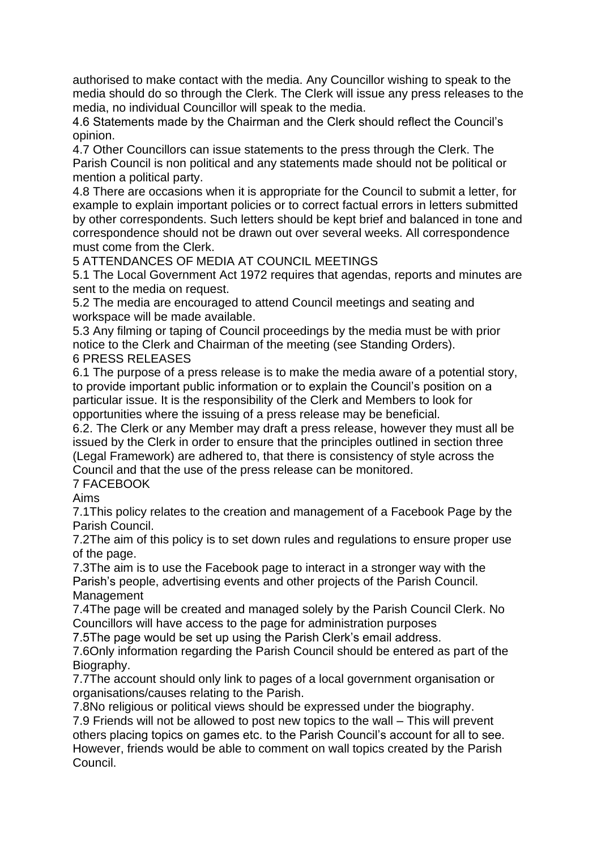authorised to make contact with the media. Any Councillor wishing to speak to the media should do so through the Clerk. The Clerk will issue any press releases to the media, no individual Councillor will speak to the media.

4.6 Statements made by the Chairman and the Clerk should reflect the Council's opinion.

4.7 Other Councillors can issue statements to the press through the Clerk. The Parish Council is non political and any statements made should not be political or mention a political party.

4.8 There are occasions when it is appropriate for the Council to submit a letter, for example to explain important policies or to correct factual errors in letters submitted by other correspondents. Such letters should be kept brief and balanced in tone and correspondence should not be drawn out over several weeks. All correspondence must come from the Clerk.

5 ATTENDANCES OF MEDIA AT COUNCIL MEETINGS

5.1 The Local Government Act 1972 requires that agendas, reports and minutes are sent to the media on request.

5.2 The media are encouraged to attend Council meetings and seating and workspace will be made available.

5.3 Any filming or taping of Council proceedings by the media must be with prior notice to the Clerk and Chairman of the meeting (see Standing Orders).

## 6 PRESS RELEASES

6.1 The purpose of a press release is to make the media aware of a potential story, to provide important public information or to explain the Council's position on a particular issue. It is the responsibility of the Clerk and Members to look for opportunities where the issuing of a press release may be beneficial.

6.2. The Clerk or any Member may draft a press release, however they must all be issued by the Clerk in order to ensure that the principles outlined in section three (Legal Framework) are adhered to, that there is consistency of style across the Council and that the use of the press release can be monitored.

## 7 FACEBOOK

Aims

7.1This policy relates to the creation and management of a Facebook Page by the Parish Council.

7.2The aim of this policy is to set down rules and regulations to ensure proper use of the page.

7.3The aim is to use the Facebook page to interact in a stronger way with the Parish's people, advertising events and other projects of the Parish Council. **Management** 

7.4The page will be created and managed solely by the Parish Council Clerk. No Councillors will have access to the page for administration purposes

7.5The page would be set up using the Parish Clerk's email address.

7.6Only information regarding the Parish Council should be entered as part of the Biography.

7.7The account should only link to pages of a local government organisation or organisations/causes relating to the Parish.

7.8No religious or political views should be expressed under the biography. 7.9 Friends will not be allowed to post new topics to the wall – This will prevent others placing topics on games etc. to the Parish Council's account for all to see. However, friends would be able to comment on wall topics created by the Parish Council.